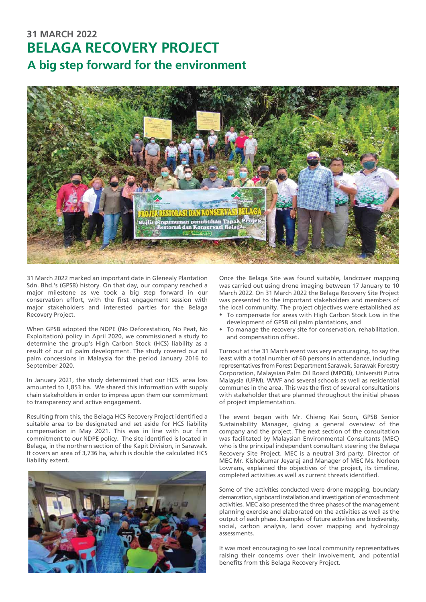## **BELAGA RECOVERY PROJECT 31 MARCH 2022 A big step forward for the environment**



31 March 2022 marked an important date in Glenealy Plantation Sdn. Bhd.'s (GPSB) history. On that day, our company reached a major milestone as we took a big step forward in our conservation effort, with the first engagement session with major stakeholders and interested parties for the Belaga Recovery Project.

When GPSB adopted the NDPE (No Deforestation, No Peat, No Exploitation) policy in April 2020, we commissioned a study to determine the group's High Carbon Stock (HCS) liability as a result of our oil palm development. The study covered our oil palm concessions in Malaysia for the period January 2016 to September 2020.

In January 2021, the study determined that our HCS area loss amounted to 1,853 ha. We shared this information with supply chain stakeholders in order to impress upon them our commitment to transparency and active engagement.

Resulting from this, the Belaga HCS Recovery Project identified a suitable area to be designated and set aside for HCS liability compensation in May 2021. This was in line with our firm commitment to our NDPE policy. The site identified is located in Belaga, in the northern section of the Kapit Division, in Sarawak. It covers an area of 3,736 ha, which is double the calculated HCS liability extent.



Once the Belaga Site was found suitable, landcover mapping was carried out using drone imaging between 17 January to 10 March 2022. On 31 March 2022 the Belaga Recovery Site Project was presented to the important stakeholders and members of the local community. The project objectives were established as:

- To compensate for areas with High Carbon Stock Loss in the development of GPSB oil palm plantations, and
- To manage the recovery site for conservation, rehabilitation, and compensation offset.

Turnout at the 31 March event was very encouraging, to say the least with a total number of 60 persons in attendance, including representatives from Forest Department Sarawak, Sarawak Forestry Corporation, Malaysian Palm Oil Board (MPOB), Universiti Putra Malaysia (UPM), WWF and several schools as well as residential communes in the area. This was the first of several consultations with stakeholder that are planned throughout the initial phases of project implementation.

The event began with Mr. Chieng Kai Soon, GPSB Senior Sustainability Manager, giving a general overview of the company and the project. The next section of the consultation was facilitated by Malaysian Environmental Consultants (MEC) who is the principal independent consultant steering the Belaga Recovery Site Project. MEC is a neutral 3rd party. Director of MEC Mr. Kishokumar Jeyaraj and Manager of MEC Ms. Norleen Lowrans, explained the objectives of the project, its timeline, completed activities as well as current threats identified.

Some of the activities conducted were drone mapping, boundary demarcation, signboard installation and investigation of encroachment activities. MEC also presented the three phases of the management planning exercise and elaborated on the activities as well as the output of each phase. Examples of future activities are biodiversity, social, carbon analysis, land cover mapping and hydrology assessments.

It was most encouraging to see local community representatives raising their concerns over their involvement, and potential benefits from this Belaga Recovery Project.